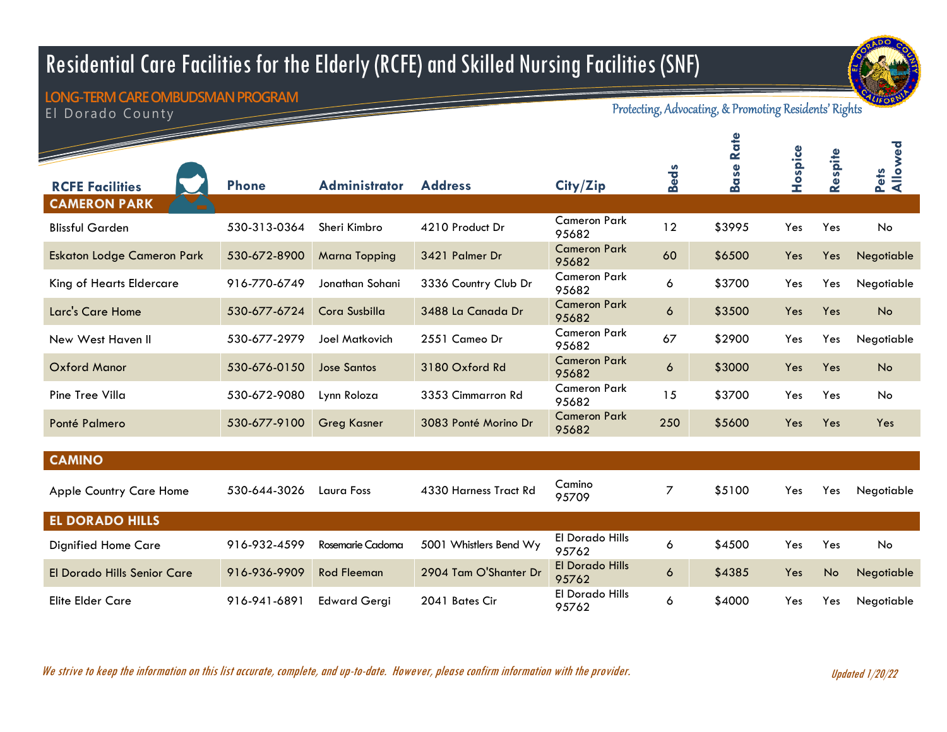## Residential Care Facilities for the Elderly (RCFE) and Skilled Nursing Facilities (SNF)



El Dorado County **LONG-TERM CARE OMBUDSMAN PROGRAM**

Protecting, Advocating, & Promoting Residents' Rights

|                                   |              |                       |                        |                                 |                | Rate<br>ase | Hospice | Respite   | Pets<br>Allowed |
|-----------------------------------|--------------|-----------------------|------------------------|---------------------------------|----------------|-------------|---------|-----------|-----------------|
| <b>RCFE Facilities</b>            | <b>Phone</b> | <b>Administrator</b>  | <b>Address</b>         | City/Zip                        | <b>Beds</b>    | m           |         |           |                 |
| <b>CAMERON PARK</b>               |              |                       |                        |                                 |                |             |         |           |                 |
| <b>Blissful Garden</b>            | 530-313-0364 | Sheri Kimbro          | 4210 Product Dr        | <b>Cameron Park</b><br>95682    | 12             | \$3995      | Yes     | Yes       | No              |
| <b>Eskaton Lodge Cameron Park</b> | 530-672-8900 | <b>Marna Topping</b>  | 3421 Palmer Dr         | <b>Cameron Park</b><br>95682    | 60             | \$6500      | Yes     | Yes       | Negotiable      |
| King of Hearts Eldercare          | 916-770-6749 | Jonathan Sohani       | 3336 Country Club Dr   | <b>Cameron Park</b><br>95682    | 6              | \$3700      | Yes     | Yes       | Negotiable      |
| Larc's Care Home                  | 530-677-6724 | Cora Susbilla         | 3488 La Canada Dr      | <b>Cameron Park</b><br>95682    | $\ddot{\circ}$ | \$3500      | Yes     | Yes       | No              |
| New West Haven II                 | 530-677-2979 | <b>Joel Matkovich</b> | 2551 Cameo Dr          | <b>Cameron Park</b><br>95682    | 67             | \$2900      | Yes     | Yes       | Negotiable      |
| <b>Oxford Manor</b>               | 530-676-0150 | <b>Jose Santos</b>    | 3180 Oxford Rd         | <b>Cameron Park</b><br>95682    | 6              | \$3000      | Yes     | Yes       | No              |
| Pine Tree Villa                   | 530-672-9080 | Lynn Roloza           | 3353 Cimmarron Rd      | <b>Cameron Park</b><br>95682    | 15             | \$3700      | Yes     | Yes       | <b>No</b>       |
| Ponté Palmero                     | 530-677-9100 | <b>Greg Kasner</b>    | 3083 Ponté Morino Dr   | <b>Cameron Park</b><br>95682    | 250            | \$5600      | Yes     | Yes       | Yes             |
|                                   |              |                       |                        |                                 |                |             |         |           |                 |
| <b>CAMINO</b>                     |              |                       |                        |                                 |                |             |         |           |                 |
| <b>Apple Country Care Home</b>    | 530-644-3026 | Laura Foss            | 4330 Harness Tract Rd  | Camino<br>95709                 | $\overline{7}$ | \$5100      | Yes     | Yes       | Negotiable      |
| <b>EL DORADO HILLS</b>            |              |                       |                        |                                 |                |             |         |           |                 |
| <b>Dignified Home Care</b>        | 916-932-4599 | Rosemarie Cadoma      | 5001 Whistlers Bend Wy | El Dorado Hills<br>95762        | 6              | \$4500      | Yes     | Yes       | <b>No</b>       |
| El Dorado Hills Senior Care       | 916-936-9909 | <b>Rod Fleeman</b>    | 2904 Tam O'Shanter Dr  | <b>El Dorado Hills</b><br>95762 | 6              | \$4385      | Yes     | <b>No</b> | Negotiable      |
| <b>Elite Elder Care</b>           | 916-941-6891 | <b>Edward Gergi</b>   | 2041 Bates Cir         | <b>El Dorado Hills</b><br>95762 | 6              | \$4000      | Yes     | Yes       | Negotiable      |

We strive to keep the information on this list accurate, complete, and up-to-date. However, please confirm information with the provider.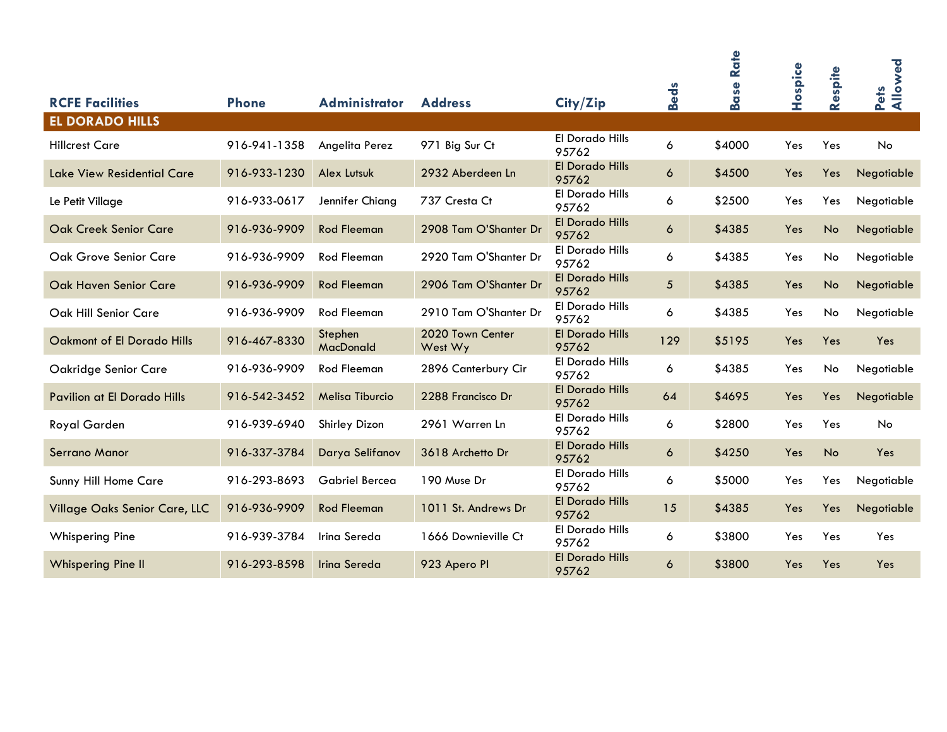|                                                  |              |                       |                             |                                 | <b>Beds</b>      | Rate<br><b>Base</b> | Hospice | Respite   | Allowed<br>Pets |
|--------------------------------------------------|--------------|-----------------------|-----------------------------|---------------------------------|------------------|---------------------|---------|-----------|-----------------|
| <b>RCFE Facilities</b><br><b>EL DORADO HILLS</b> | <b>Phone</b> | <b>Administrator</b>  | <b>Address</b>              | City/Zip                        |                  |                     |         |           |                 |
| <b>Hillcrest Care</b>                            | 916-941-1358 | Angelita Perez        | 971 Big Sur Ct              | El Dorado Hills<br>95762        | 6                | \$4000              | Yes     | Yes       | <b>No</b>       |
| <b>Lake View Residential Care</b>                | 916-933-1230 | Alex Lutsuk           | 2932 Aberdeen Ln            | <b>El Dorado Hills</b><br>95762 | $\ddot{\circ}$   | \$4500              | Yes     | Yes       | Negotiable      |
| Le Petit Village                                 | 916-933-0617 | Jennifer Chiang       | 737 Cresta Ct               | El Dorado Hills<br>95762        | 6                | \$2500              | Yes     | Yes       | Negotiable      |
| <b>Oak Creek Senior Care</b>                     | 916-936-9909 | <b>Rod Fleeman</b>    | 2908 Tam O'Shanter Dr       | <b>El Dorado Hills</b><br>95762 | $\boldsymbol{6}$ | \$4385              | Yes     | No        | Negotiable      |
| Oak Grove Senior Care                            | 916-936-9909 | <b>Rod Fleeman</b>    | 2920 Tam O'Shanter Dr       | El Dorado Hills<br>95762        | 6                | \$4385              | Yes     | No        | Negotiable      |
| <b>Oak Haven Senior Care</b>                     | 916-936-9909 | <b>Rod Fleeman</b>    | 2906 Tam O'Shanter Dr       | <b>El Dorado Hills</b><br>95762 | 5                | \$4385              | Yes     | No        | Negotiable      |
| Oak Hill Senior Care                             | 916-936-9909 | <b>Rod Fleeman</b>    | 2910 Tam O'Shanter Dr       | El Dorado Hills<br>95762        | 6                | \$4385              | Yes     | No        | Negotiable      |
| <b>Oakmont of El Dorado Hills</b>                | 916-467-8330 | Stephen<br>MacDonald  | 2020 Town Center<br>West Wy | <b>El Dorado Hills</b><br>95762 | 129              | \$5195              | Yes     | Yes       | Yes             |
| Oakridge Senior Care                             | 916-936-9909 | <b>Rod Fleeman</b>    | 2896 Canterbury Cir         | El Dorado Hills<br>95762        | 6                | \$4385              | Yes     | No        | Negotiable      |
| Pavilion at El Dorado Hills                      | 916-542-3452 | Melisa Tiburcio       | 2288 Francisco Dr           | <b>El Dorado Hills</b><br>95762 | 64               | \$4695              | Yes     | Yes       | Negotiable      |
| Royal Garden                                     | 916-939-6940 | Shirley Dizon         | 2961 Warren Ln              | El Dorado Hills<br>95762        | 6                | \$2800              | Yes     | Yes       | <b>No</b>       |
| Serrano Manor                                    | 916-337-3784 | Darya Selifanov       | 3618 Archetto Dr            | <b>El Dorado Hills</b><br>95762 | 6                | \$4250              | Yes     | <b>No</b> | Yes             |
| Sunny Hill Home Care                             | 916-293-8693 | <b>Gabriel Bercea</b> | 190 Muse Dr                 | El Dorado Hills<br>95762        | 6                | \$5000              | Yes     | Yes       | Negotiable      |
| Village Oaks Senior Care, LLC                    | 916-936-9909 | <b>Rod Fleeman</b>    | 1011 St. Andrews Dr         | <b>El Dorado Hills</b><br>95762 | 15               | \$4385              | Yes     | Yes       | Negotiable      |
| <b>Whispering Pine</b>                           | 916-939-3784 | Irina Sereda          | 1666 Downieville Ct         | El Dorado Hills<br>95762        | 6                | \$3800              | Yes     | Yes       | Yes             |
| <b>Whispering Pine II</b>                        | 916-293-8598 | Irina Sereda          | 923 Apero Pl                | <b>El Dorado Hills</b><br>95762 | $\ddot{\circ}$   | \$3800              | Yes     | Yes       | Yes             |